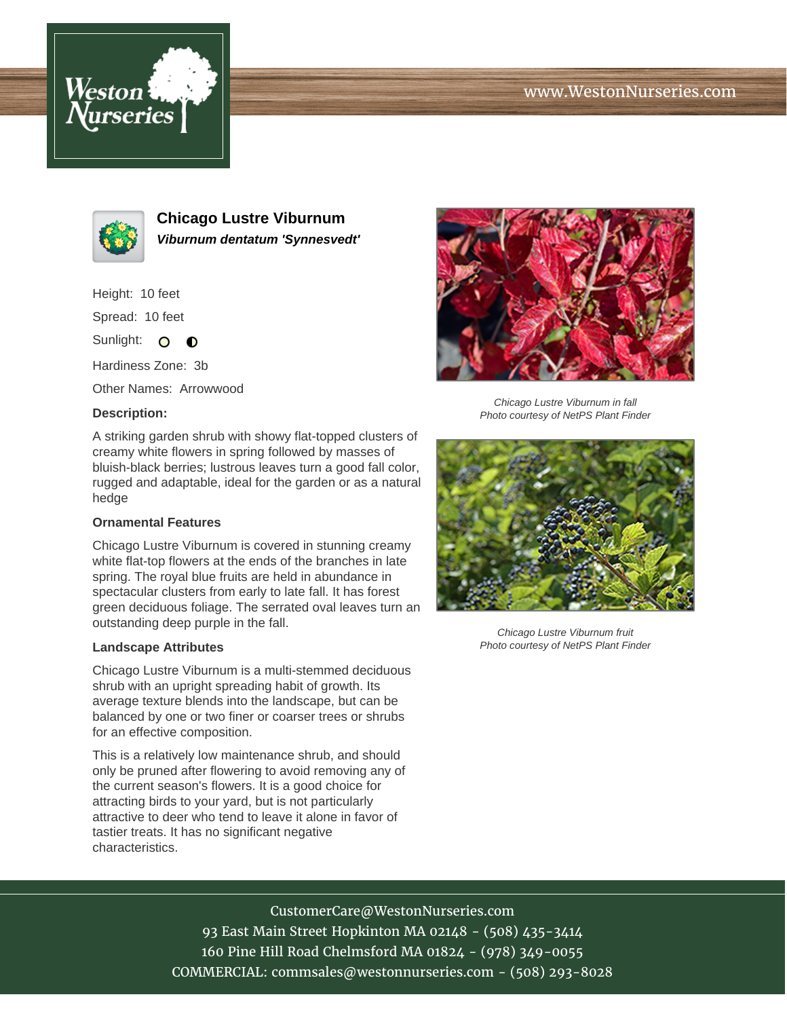# www.WestonNurseries.com





**Chicago Lustre Viburnum Viburnum dentatum 'Synnesvedt'**

Height: 10 feet

Spread: 10 feet

Sunlight: O **O** 

Hardiness Zone: 3b

Other Names: Arrowwood

### **Description:**

A striking garden shrub with showy flat-topped clusters of creamy white flowers in spring followed by masses of bluish-black berries; lustrous leaves turn a good fall color, rugged and adaptable, ideal for the garden or as a natural hedge

### **Ornamental Features**

Chicago Lustre Viburnum is covered in stunning creamy white flat-top flowers at the ends of the branches in late spring. The royal blue fruits are held in abundance in spectacular clusters from early to late fall. It has forest green deciduous foliage. The serrated oval leaves turn an outstanding deep purple in the fall.

#### **Landscape Attributes**

Chicago Lustre Viburnum is a multi-stemmed deciduous shrub with an upright spreading habit of growth. Its average texture blends into the landscape, but can be balanced by one or two finer or coarser trees or shrubs for an effective composition.

This is a relatively low maintenance shrub, and should only be pruned after flowering to avoid removing any of the current season's flowers. It is a good choice for attracting birds to your yard, but is not particularly attractive to deer who tend to leave it alone in favor of tastier treats. It has no significant negative characteristics.



Chicago Lustre Viburnum in fall Photo courtesy of NetPS Plant Finder



Chicago Lustre Viburnum fruit Photo courtesy of NetPS Plant Finder

## CustomerCare@WestonNurseries.com

93 East Main Street Hopkinton MA 02148 - (508) 435-3414 160 Pine Hill Road Chelmsford MA 01824 - (978) 349-0055 COMMERCIAL: commsales@westonnurseries.com - (508) 293-8028